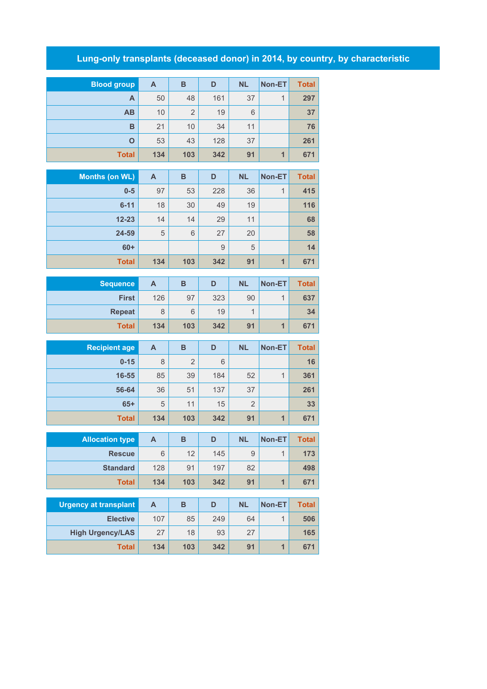## **Lung-only transplants (deceased donor) in 2014, by country, by characteristic**

| <b>Blood group</b> | A   | в              | D   | <b>NL</b> | <b>Non-ET</b>        | <b>Total</b> |
|--------------------|-----|----------------|-----|-----------|----------------------|--------------|
| A                  | 50  | 48             | 161 | 37        | 1                    | 297          |
| AB                 | 10  | $\overline{2}$ | 19  | 6         |                      | 37           |
| B                  | 21  | 10             | 34  | 11        |                      | 76           |
| $\mathbf O$        | 53  | 43             | 128 | 37        |                      | 261          |
| <b>Total</b>       | 134 | 103            | 342 | 91        | $\blacktriangleleft$ | 671          |

| <b>Months (on WL)</b> | A   | B   | D   | <b>NL</b> | Non-ET | <b>Total</b> |
|-----------------------|-----|-----|-----|-----------|--------|--------------|
| $0-5$                 | 97  | 53  | 228 | 36        | 1      | 415          |
| $6 - 11$              | 18  | 30  | 49  | 19        |        | 116          |
| $12 - 23$             | 14  | 14  | 29  | 11        |        | 68           |
| 24-59                 | 5   | 6   | 27  | 20        |        | 58           |
| $60+$                 |     |     | 9   | 5         |        | 14           |
| <b>Total</b>          | 134 | 103 | 342 | 91        | 1      | 671          |

| <b>Sequence</b> | $\mathbf{A}$ | B   | D   | <b>NL</b> | <b>Non-ET</b> | <b>Total</b> |
|-----------------|--------------|-----|-----|-----------|---------------|--------------|
| <b>First</b>    | 126          | 97  | 323 | 90        |               | 637          |
| <b>Repeat</b>   | 8            | 6   | 19  |           |               | 34           |
| <b>Total</b>    | 134          | 103 | 342 | 91        |               | 671          |

| <b>Recipient age</b> | A   | B              | D   | <b>NL</b>      | Non-ET | <b>Total</b> |
|----------------------|-----|----------------|-----|----------------|--------|--------------|
| $0 - 15$             | 8   | $\overline{2}$ | 6   |                |        | 16           |
| 16-55                | 85  | 39             | 184 | 52             |        | 361          |
| 56-64                | 36  | 51             | 137 | 37             |        | 261          |
| $65+$                | 5   | 11             | 15  | $\overline{2}$ |        | 33           |
| <b>Total</b>         | 134 | 103            | 342 | 91             |        | 671          |

| <b>Allocation type</b> | А   | в   | D   | <b>NL</b> | Non-ET | <b>Total</b> |
|------------------------|-----|-----|-----|-----------|--------|--------------|
| <b>Rescue</b>          | 6   | 12  | 145 | 9         |        | 173          |
| <b>Standard</b>        | 128 | 91  | 197 | 82        |        | 498          |
| <b>Total</b>           | 134 | 103 | 342 | 91        |        | 671          |

| <b>Urgency at transplant</b> | А   | в   | D   | <b>NL</b> | <b>Non-ET</b> | <b>Total</b> |
|------------------------------|-----|-----|-----|-----------|---------------|--------------|
| <b>Elective</b>              | 107 | 85  | 249 | 64        |               | 506          |
| <b>High Urgency/LAS</b>      | 27  | 18  | 93  | 27        |               | 165          |
| Total                        | 134 | 103 | 342 | 91        |               | 671          |